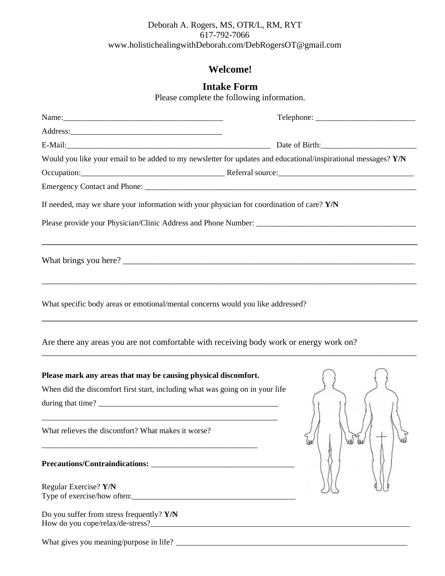### Deborah A. Rogers, MS, OTR/L, RM, RYT 617-792-7066 www.holistichealingwithDeborah.com/DebRogersOT@gmail.com

## **Welcome!**

# **Intake Form**

Please complete the following information.

| Name:                                                                                                          |                                                                                                                       |
|----------------------------------------------------------------------------------------------------------------|-----------------------------------------------------------------------------------------------------------------------|
|                                                                                                                |                                                                                                                       |
|                                                                                                                |                                                                                                                       |
| Would you like your email to be added to my newsletter for updates and educational/inspirational messages? Y/N |                                                                                                                       |
|                                                                                                                | Occupation: Contact Decision According Property Referral source: Contact Decision According Property Referral source: |
|                                                                                                                |                                                                                                                       |
| If needed, may we share your information with your physician for coordination of care? Y/N                     |                                                                                                                       |
|                                                                                                                |                                                                                                                       |
|                                                                                                                | ,我们的人们就会在这里的人们,我们的人们就会在这里,我们的人们就会在这里,我们的人们就会在这里,我们的人们就会在这里,我们的人们就会在这里,我们的人们就会在这里                                      |
| What specific body areas or emotional/mental concerns would you like addressed?                                |                                                                                                                       |
| Are there any areas you are not comfortable with receiving body work or energy work on?                        |                                                                                                                       |
| Please mark any areas that may be causing physical discomfort.                                                 |                                                                                                                       |
| When did the discomfort first start, including what was going on in your life                                  |                                                                                                                       |
| during that time?                                                                                              |                                                                                                                       |
| What relieves the discomfort? What makes it worse?                                                             | w                                                                                                                     |
|                                                                                                                |                                                                                                                       |
| Regular Exercise? Y/N                                                                                          |                                                                                                                       |
| Type of exercise/how often:                                                                                    |                                                                                                                       |
| Do you suffer from stress frequently? Y/N                                                                      |                                                                                                                       |

What gives you meaning/purpose in life? \_\_\_\_\_\_\_\_\_\_\_\_\_\_\_\_\_\_\_\_\_\_\_\_\_\_\_\_\_\_\_\_\_\_\_\_\_\_\_\_\_\_\_\_\_\_\_\_\_\_\_\_\_\_\_\_\_\_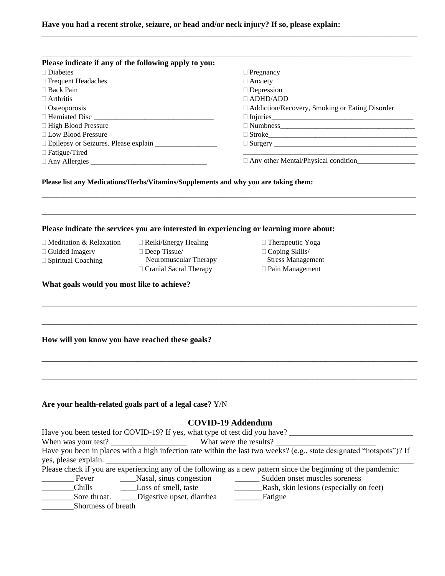#### **Have you had a recent stroke, seizure, or head and/or neck injury? If so, please explain:**

| Please indicate if any of the following apply to you: |                                                  |
|-------------------------------------------------------|--------------------------------------------------|
| $\Box$ Diabetes                                       | $\Box$ Pregnancy                                 |
| $\Box$ Frequent Headaches                             | $\Box$ Anxiety                                   |
| $\Box$ Back Pain                                      | $\Box$ Depression                                |
| $\Box$ Arthritis                                      | $\Box$ ADHD/ADD                                  |
| $\Box$ Osteoporosis                                   | □ Addiction/Recovery, Smoking or Eating Disorder |
| $\Box$ Herniated Disc                                 | $\Box$ Injuries                                  |
| $\Box$ High Blood Pressure                            | $\Box$ Numbness                                  |
| $\Box$ Low Blood Pressure                             |                                                  |
|                                                       | $\Box$ Surgery                                   |
| $\Box$ Fatigue/Tired                                  |                                                  |
|                                                       | $\Box$ Any other Mental/Physical condition       |

\_\_\_\_\_\_\_\_\_\_\_\_\_\_\_\_\_\_\_\_\_\_\_\_\_\_\_\_\_\_\_\_\_\_\_\_\_\_\_\_\_\_\_\_\_\_\_\_\_\_\_\_\_\_\_\_\_\_\_\_\_\_\_\_\_\_\_\_\_\_\_\_\_\_\_\_\_\_\_\_\_\_\_\_\_\_\_\_\_\_\_\_\_\_\_\_\_\_\_\_\_\_\_

\_\_\_\_\_\_\_\_\_\_\_\_\_\_\_\_\_\_\_\_\_\_\_\_\_\_\_\_\_\_\_\_\_\_\_\_\_\_\_\_\_\_\_\_\_\_\_\_\_\_\_\_\_\_\_\_\_\_\_\_\_\_\_\_\_\_\_\_\_\_\_\_\_\_\_\_\_\_\_\_\_\_\_\_\_\_\_\_\_\_\_\_\_\_\_\_\_\_\_\_\_\_\_

\_\_\_\_\_\_\_\_\_\_\_\_\_\_\_\_\_\_\_\_\_\_\_\_\_\_\_\_\_\_\_\_\_\_\_\_\_\_\_\_\_\_\_\_\_\_\_\_\_\_\_\_\_\_\_\_\_\_\_\_\_\_\_\_\_\_\_\_\_\_\_\_\_\_\_\_\_\_\_\_\_\_\_\_\_\_\_\_\_\_\_\_\_\_

\_\_\_\_\_\_\_\_\_\_\_\_\_\_\_\_\_\_\_\_\_\_\_\_\_\_\_\_\_\_\_\_\_\_\_\_\_\_\_\_\_\_\_\_\_\_\_\_\_\_\_\_\_\_\_\_\_\_\_\_\_\_\_\_\_\_\_\_\_\_\_\_\_\_\_\_\_\_\_\_\_\_\_\_\_\_\_\_\_\_\_\_\_\_

\_\_\_\_\_\_\_\_\_\_\_\_\_\_\_\_\_\_\_\_\_\_\_\_\_\_\_\_\_\_\_\_\_\_\_\_\_\_\_\_\_\_\_\_\_\_\_\_\_\_\_\_\_\_\_\_\_\_\_\_\_\_\_\_\_\_\_\_\_\_\_\_\_\_\_\_\_\_\_\_\_\_\_\_\_\_\_\_\_\_\_\_\_\_

 Therapeutic Yoga Coping Skills/ Stress Management Pain Management

\_\_\_\_\_\_\_\_\_\_\_\_\_\_\_\_\_\_\_\_\_\_\_\_\_\_\_\_\_\_\_\_\_\_\_\_\_\_\_\_\_\_\_\_\_\_\_\_\_\_\_\_\_\_\_\_\_\_\_\_\_\_\_\_\_\_\_\_\_\_\_\_\_\_\_\_\_\_\_\_\_\_\_\_\_\_\_\_\_\_\_\_\_\_

#### **Please list any Medications/Herbs/Vitamins/Supplements and why you are taking them:**

#### **Please indicate the services you are interested in experiencing or learning more about:**

- □ Meditation & Relaxation
- Guided Imagery □ Spiritual Coaching
- Deep Tissue/
	- Neuromuscular Therapy Cranial Sacral Therapy

□ Reiki/Energy Healing

- **What goals would you most like to achieve?**
- \_\_\_\_\_\_\_\_\_\_\_\_\_\_\_\_\_\_\_\_\_\_\_\_\_\_\_\_\_\_\_\_\_\_\_\_\_\_\_\_\_\_\_\_\_\_\_\_\_\_\_\_\_\_\_\_\_\_\_\_\_\_\_\_\_\_\_\_\_\_\_\_\_\_\_\_\_\_\_\_\_\_\_\_\_\_\_\_\_\_\_\_\_\_

#### **How will you know you have reached these goals?**

| Are your health-related goals part of a legal case? Y/N |  |  |  |  |
|---------------------------------------------------------|--|--|--|--|
|---------------------------------------------------------|--|--|--|--|

#### **COVID-19 Addendum**

|                      | Have you been tested for COVID-19? If yes, what type of test did you have? |                                                                                                                       |
|----------------------|----------------------------------------------------------------------------|-----------------------------------------------------------------------------------------------------------------------|
| When was your test?  |                                                                            | What were the results?                                                                                                |
|                      |                                                                            | Have you been in places with a high infection rate within the last two weeks? (e.g., state designated "hotspots")? If |
| yes, please explain. |                                                                            |                                                                                                                       |
|                      |                                                                            | Please check if you are experiencing any of the following as a new pattern since the beginning of the pandemic:       |
| Fever                | Nasal, sinus congestion                                                    | Sudden onset muscles soreness                                                                                         |
| <b>Chills</b>        | Loss of smell, taste                                                       | Rash, skin lesions (especially on feet)                                                                               |
| Sore throat.         | Digestive upset, diarrhea                                                  | Fatigue                                                                                                               |
| Shortness of breath  |                                                                            |                                                                                                                       |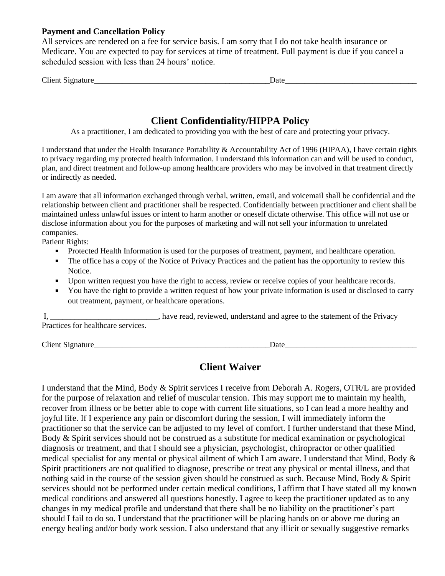#### **Payment and Cancellation Policy**

All services are rendered on a fee for service basis. I am sorry that I do not take health insurance or Medicare. You are expected to pay for services at time of treatment. Full payment is due if you cancel a scheduled session with less than 24 hours' notice.

| $\sim$<br>$\sim$<br>. AT "<br>$\cup$ nent<br>лал<br>.119 | Date |  |
|----------------------------------------------------------|------|--|
|                                                          |      |  |

# **Client Confidentiality/HIPPA Policy**

As a practitioner, I am dedicated to providing you with the best of care and protecting your privacy.

I understand that under the Health Insurance Portability & Accountability Act of 1996 (HIPAA), I have certain rights to privacy regarding my protected health information. I understand this information can and will be used to conduct, plan, and direct treatment and follow-up among healthcare providers who may be involved in that treatment directly or indirectly as needed.

I am aware that all information exchanged through verbal, written, email, and voicemail shall be confidential and the relationship between client and practitioner shall be respected. Confidentially between practitioner and client shall be maintained unless unlawful issues or intent to harm another or oneself dictate otherwise. This office will not use or disclose information about you for the purposes of marketing and will not sell your information to unrelated companies.

Patient Rights:

- **Protected Health Information is used for the purposes of treatment, payment, and healthcare operation.**
- The office has a copy of the Notice of Privacy Practices and the patient has the opportunity to review this Notice.
- Upon written request you have the right to access, review or receive copies of your healthcare records.
- You have the right to provide a written request of how your private information is used or disclosed to carry out treatment, payment, or healthcare operations.

I, have read, reviewed, understand and agree to the statement of the Privacy Practices for healthcare services.

Client Signature\_\_\_\_\_\_\_\_\_\_\_\_\_\_\_\_\_\_\_\_\_\_\_\_\_\_\_\_\_\_\_\_\_\_\_\_\_\_\_\_\_\_\_\_Date\_\_\_\_\_\_\_\_\_\_\_\_\_\_\_\_\_\_\_\_\_\_\_\_\_\_\_\_\_\_\_\_\_

### **Client Waiver**

I understand that the Mind, Body & Spirit services I receive from Deborah A. Rogers, OTR/L are provided for the purpose of relaxation and relief of muscular tension. This may support me to maintain my health, recover from illness or be better able to cope with current life situations, so I can lead a more healthy and joyful life. If I experience any pain or discomfort during the session, I will immediately inform the practitioner so that the service can be adjusted to my level of comfort. I further understand that these Mind, Body & Spirit services should not be construed as a substitute for medical examination or psychological diagnosis or treatment, and that I should see a physician, psychologist, chiropractor or other qualified medical specialist for any mental or physical ailment of which I am aware. I understand that Mind, Body  $\&$ Spirit practitioners are not qualified to diagnose, prescribe or treat any physical or mental illness, and that nothing said in the course of the session given should be construed as such. Because Mind, Body & Spirit services should not be performed under certain medical conditions, I affirm that I have stated all my known medical conditions and answered all questions honestly. I agree to keep the practitioner updated as to any changes in my medical profile and understand that there shall be no liability on the practitioner's part should I fail to do so. I understand that the practitioner will be placing hands on or above me during an energy healing and/or body work session. I also understand that any illicit or sexually suggestive remarks